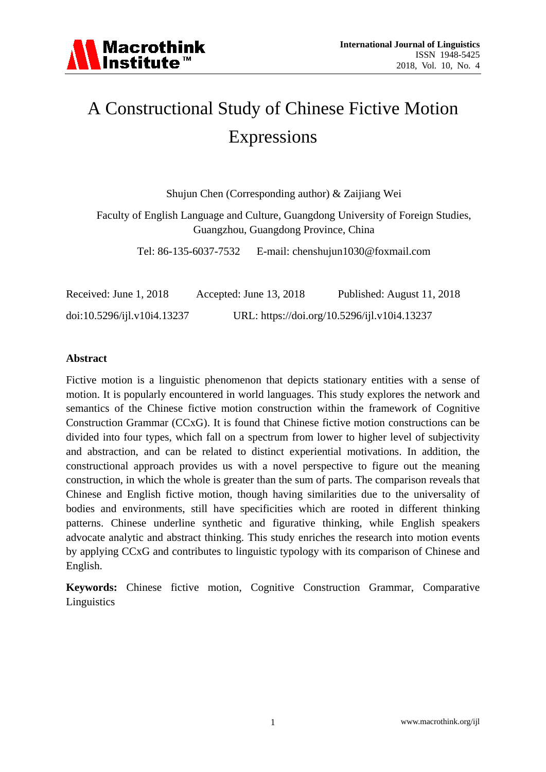

# A Constructional Study of Chinese Fictive Motion Expressions

Shujun Chen (Corresponding author) & Zaijiang Wei

Faculty of English Language and Culture, Guangdong University of Foreign Studies, Guangzhou, Guangdong Province, China

Tel: 86-135-6037-7532 E-mail: [chenshujun1030@foxmail.com](mailto:chenshujun1030@foxmail.com)

| Received: June 1, 2018      | Accepted: June 13, 2018                      | Published: August 11, 2018 |
|-----------------------------|----------------------------------------------|----------------------------|
| doi:10.5296/ijl.v10i4.13237 | URL: https://doi.org/10.5296/ijl.v10i4.13237 |                            |

#### **Abstract**

Fictive motion is a linguistic phenomenon that depicts stationary entities with a sense of motion. It is popularly encountered in world languages. This study explores the network and semantics of the Chinese fictive motion construction within the framework of Cognitive Construction Grammar (CCxG). It is found that Chinese fictive motion constructions can be divided into four types, which fall on a spectrum from lower to higher level of subjectivity and abstraction, and can be related to distinct experiential motivations. In addition, the constructional approach provides us with a novel perspective to figure out the meaning construction, in which the whole is greater than the sum of parts. The comparison reveals that Chinese and English fictive motion, though having similarities due to the universality of bodies and environments, still have specificities which are rooted in different thinking patterns. Chinese underline synthetic and figurative thinking, while English speakers advocate analytic and abstract thinking. This study enriches the research into motion events by applying CCxG and contributes to linguistic typology with its comparison of Chinese and English.

**Keywords:** Chinese fictive motion, Cognitive Construction Grammar, Comparative Linguistics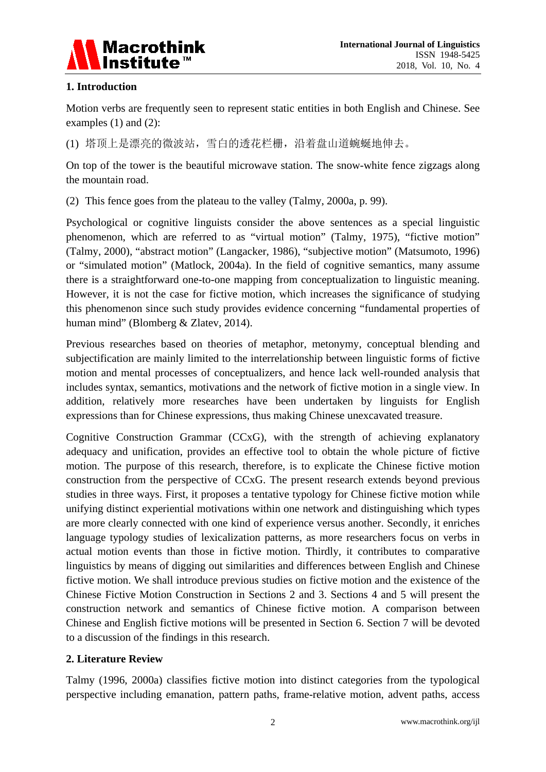

# **1. Introduction**

Motion verbs are frequently seen to represent static entities in both English and Chinese. See examples (1) and (2):

(1) 塔顶上是漂亮的微波站,雪白的透花栏栅,沿着盘山道蜿蜒地伸去。

On top of the tower is the beautiful microwave station. The snow-white fence zigzags along the mountain road.

(2) This fence goes from the plateau to the valley (Talmy, 2000a, p. 99).

Psychological or cognitive linguists consider the above sentences as a special linguistic phenomenon, which are referred to as "virtual motion" (Talmy, 1975), "fictive motion" (Talmy, 2000), "abstract motion" (Langacker, 1986), "subjective motion" (Matsumoto, 1996) or "simulated motion" (Matlock, 2004a). In the field of cognitive semantics, many assume there is a straightforward one-to-one mapping from conceptualization to linguistic meaning. However, it is not the case for fictive motion, which increases the significance of studying this phenomenon since such study provides evidence concerning "fundamental properties of human mind" (Blomberg & Zlatev, 2014).

Previous researches based on theories of metaphor, metonymy, conceptual blending and subjectification are mainly limited to the interrelationship between linguistic forms of fictive motion and mental processes of conceptualizers, and hence lack well-rounded analysis that includes syntax, semantics, motivations and the network of fictive motion in a single view. In addition, relatively more researches have been undertaken by linguists for English expressions than for Chinese expressions, thus making Chinese unexcavated treasure.

Cognitive Construction Grammar (CCxG), with the strength of achieving explanatory adequacy and unification, provides an effective tool to obtain the whole picture of fictive motion. The purpose of this research, therefore, is to explicate the Chinese fictive motion construction from the perspective of CCxG. The present research extends beyond previous studies in three ways. First, it proposes a tentative typology for Chinese fictive motion while unifying distinct experiential motivations within one network and distinguishing which types are more clearly connected with one kind of experience versus another. Secondly, it enriches language typology studies of lexicalization patterns, as more researchers focus on verbs in actual motion events than those in fictive motion. Thirdly, it contributes to comparative linguistics by means of digging out similarities and differences between English and Chinese fictive motion. We shall introduce previous studies on fictive motion and the existence of the Chinese Fictive Motion Construction in Sections 2 and 3. Sections 4 and 5 will present the construction network and semantics of Chinese fictive motion. A comparison between Chinese and English fictive motions will be presented in Section 6. Section 7 will be devoted to a discussion of the findings in this research.

# **2. Literature Review**

Talmy (1996, 2000a) classifies fictive motion into distinct categories from the typological perspective including emanation, pattern paths, frame-relative motion, advent paths, access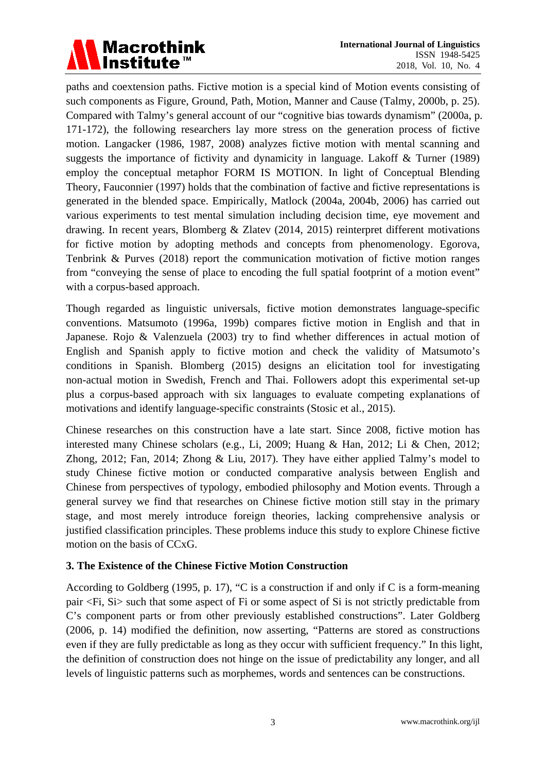

paths and coextension paths. Fictive motion is a special kind of Motion events consisting of such components as Figure, Ground, Path, Motion, Manner and Cause (Talmy, 2000b, p. 25). Compared with Talmy's general account of our "cognitive bias towards dynamism" (2000a, p. 171-172), the following researchers lay more stress on the generation process of fictive motion. Langacker (1986, 1987, 2008) analyzes fictive motion with mental scanning and suggests the importance of fictivity and dynamicity in language. Lakoff & Turner (1989) employ the conceptual metaphor FORM IS MOTION. In light of Conceptual Blending Theory, Fauconnier (1997) holds that the combination of factive and fictive representations is generated in the blended space. Empirically, Matlock (2004a, 2004b, 2006) has carried out various experiments to test mental simulation including decision time, eye movement and drawing. In recent years, Blomberg & Zlatev (2014, 2015) reinterpret different motivations for fictive motion by adopting methods and concepts from phenomenology. Egorova, Tenbrink & Purves (2018) report the communication motivation of fictive motion ranges from "conveying the sense of place to encoding the full spatial footprint of a motion event" with a corpus-based approach.

Though regarded as linguistic universals, fictive motion demonstrates language-specific conventions. Matsumoto (1996a, 199b) compares fictive motion in English and that in Japanese. Rojo & Valenzuela (2003) try to find whether differences in actual motion of English and Spanish apply to fictive motion and check the validity of Matsumoto's conditions in Spanish. Blomberg (2015) designs an elicitation tool for investigating non-actual motion in Swedish, French and Thai. Followers adopt this experimental set-up plus a corpus-based approach with six languages to evaluate competing explanations of motivations and identify language-specific constraints (Stosic et al., 2015).

Chinese researches on this construction have a late start. Since 2008, fictive motion has interested many Chinese scholars (e.g., Li, 2009; Huang & Han, 2012; Li & Chen, 2012; Zhong, 2012; Fan, 2014; Zhong & Liu, 2017). They have either applied Talmy's model to study Chinese fictive motion or conducted comparative analysis between English and Chinese from perspectives of typology, embodied philosophy and Motion events. Through a general survey we find that researches on Chinese fictive motion still stay in the primary stage, and most merely introduce foreign theories, lacking comprehensive analysis or justified classification principles. These problems induce this study to explore Chinese fictive motion on the basis of CCxG.

#### **3. The Existence of the Chinese Fictive Motion Construction**

According to Goldberg (1995, p. 17), "C is a construction if and only if C is a form-meaning pair <Fi, Si> such that some aspect of Fi or some aspect of Si is not strictly predictable from C's component parts or from other previously established constructions". Later Goldberg (2006, p. 14) modified the definition, now asserting, "Patterns are stored as constructions even if they are fully predictable as long as they occur with sufficient frequency." In this light, the definition of construction does not hinge on the issue of predictability any longer, and all levels of linguistic patterns such as morphemes, words and sentences can be constructions.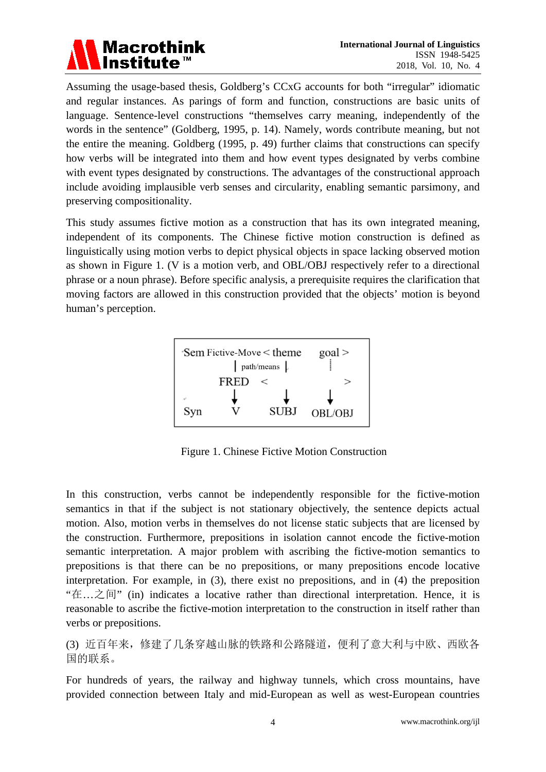

Assuming the usage-based thesis, Goldberg's CCxG accounts for both "irregular" idiomatic and regular instances. As parings of form and function, constructions are basic units of language. Sentence-level constructions "themselves carry meaning, independently of the words in the sentence" (Goldberg, 1995, p. 14). Namely, words contribute meaning, but not the entire the meaning. Goldberg (1995, p. 49) further claims that constructions can specify how verbs will be integrated into them and how event types designated by verbs combine with event types designated by constructions. The advantages of the constructional approach include avoiding implausible verb senses and circularity, enabling semantic parsimony, and preserving compositionality.

This study assumes fictive motion as a construction that has its own integrated meaning, independent of its components. The Chinese fictive motion construction is defined as linguistically using motion verbs to depict physical objects in space lacking observed motion as shown in Figure 1. (V is a motion verb, and OBL/OBJ respectively refer to a directional phrase or a noun phrase). Before specific analysis, a prerequisite requires the clarification that moving factors are allowed in this construction provided that the objects' motion is beyond human's perception.



Figure 1. Chinese Fictive Motion Construction

In this construction, verbs cannot be independently responsible for the fictive-motion semantics in that if the subject is not stationary objectively, the sentence depicts actual motion. Also, motion verbs in themselves do not license static subjects that are licensed by the construction. Furthermore, prepositions in isolation cannot encode the fictive-motion semantic interpretation. A major problem with ascribing the fictive-motion semantics to prepositions is that there can be no prepositions, or many prepositions encode locative interpretation. For example, in (3), there exist no prepositions, and in (4) the preposition "在…之间" (in) indicates a locative rather than directional interpretation. Hence, it is reasonable to ascribe the fictive-motion interpretation to the construction in itself rather than verbs or prepositions.

(3) 近百年来,修建了几条穿越山脉的铁路和公路隧道,便利了意大利与中欧、西欧各 国的联系。

For hundreds of years, the railway and highway tunnels, which cross mountains, have provided connection between Italy and mid-European as well as west-European countries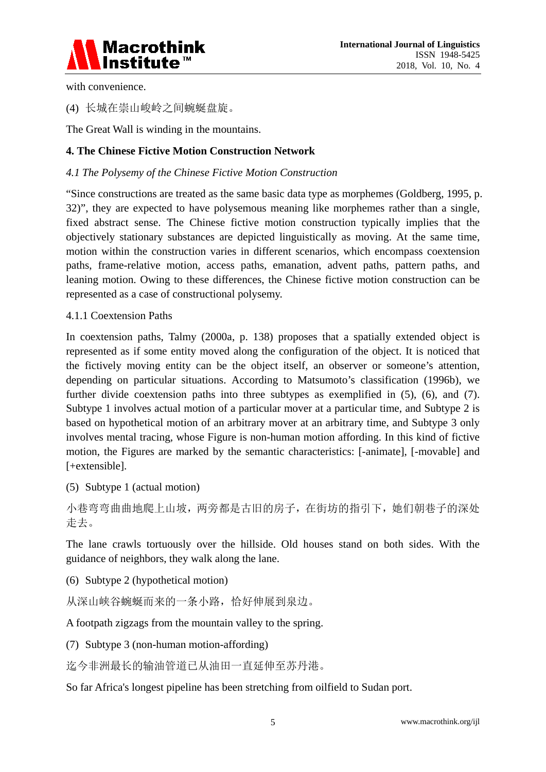

with convenience.

(4) 长城在崇山峻岭之间蜿蜒盘旋。

The Great Wall is winding in the mountains.

# **4. The Chinese Fictive Motion Construction Network**

## *4.1 The Polysemy of the Chinese Fictive Motion Construction*

"Since constructions are treated as the same basic data type as morphemes (Goldberg, 1995, p. 32)", they are expected to have polysemous meaning like morphemes rather than a single, fixed abstract sense. The Chinese fictive motion construction typically implies that the objectively stationary substances are depicted linguistically as moving. At the same time, motion within the construction varies in different scenarios, which encompass coextension paths, frame-relative motion, access paths, emanation, advent paths, pattern paths, and leaning motion. Owing to these differences, the Chinese fictive motion construction can be represented as a case of constructional polysemy.

#### 4.1.1 Coextension Paths

In coextension paths, Talmy (2000a, p. 138) proposes that a spatially extended object is represented as if some entity moved along the configuration of the object. It is noticed that the fictively moving entity can be the object itself, an observer or someone's attention, depending on particular situations. According to Matsumoto's classification (1996b), we further divide coextension paths into three subtypes as exemplified in (5), (6), and (7). Subtype 1 involves actual motion of a particular mover at a particular time, and Subtype 2 is based on hypothetical motion of an arbitrary mover at an arbitrary time, and Subtype 3 only involves mental tracing, whose Figure is non-human motion affording. In this kind of fictive motion, the Figures are marked by the semantic characteristics: [-animate], [-movable] and [+extensible].

(5) Subtype 1 (actual motion)

小巷弯弯曲曲地爬上山坡,两旁都是古旧的房子,在街坊的指引下,她们朝巷子的深处 走去。

The lane crawls tortuously over the hillside. Old houses stand on both sides. With the guidance of neighbors, they walk along the lane.

(6) Subtype 2 (hypothetical motion)

从深山峡谷蜿蜒而来的一条小路,恰好伸展到泉边。

A footpath zigzags from the mountain valley to the spring.

(7) Subtype 3 (non-human motion-affording)

迄今非洲最长的输油管道已从油田一直延伸至苏丹港。

So far Africa's longest pipeline has been stretching from oilfield to Sudan port.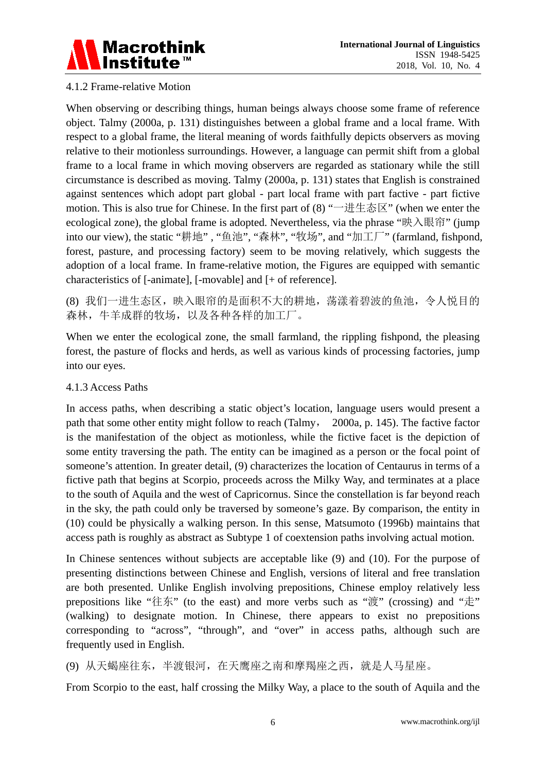

# 4.1.2 Frame-relative Motion

When observing or describing things, human beings always choose some frame of reference object. Talmy (2000a, p. 131) distinguishes between a global frame and a local frame. With respect to a global frame, the literal meaning of words faithfully depicts observers as moving relative to their motionless surroundings. However, a language can permit shift from a global frame to a local frame in which moving observers are regarded as stationary while the still circumstance is described as moving. Talmy (2000a, p. 131) states that English is constrained against sentences which adopt part global - part local frame with part factive - part fictive motion. This is also true for Chinese. In the first part of (8) "一进生态区" (when we enter the ecological zone), the global frame is adopted. Nevertheless, via the phrase "映入眼帘" (jump into our view), the static "耕地" , "鱼池", "森林", "牧场", and "加工厂" (farmland, fishpond, forest, pasture, and processing factory) seem to be moving relatively, which suggests the adoption of a local frame. In frame-relative motion, the Figures are equipped with semantic characteristics of [-animate], [-movable] and [+ of reference].

(8) 我们一进生态区,映入眼帘的是面积不大的耕地,荡漾着碧波的鱼池,令人悦目的 森林,牛羊成群的牧场,以及各种各样的加工厂。

When we enter the ecological zone, the small farmland, the rippling fishpond, the pleasing forest, the pasture of flocks and herds, as well as various kinds of processing factories, jump into our eyes.

#### 4.1.3 Access Paths

In access paths, when describing a static object's location, language users would present a path that some other entity might follow to reach (Talmy, 2000a, p. 145). The factive factor is the manifestation of the object as motionless, while the fictive facet is the depiction of some entity traversing the path. The entity can be imagined as a person or the focal point of someone's attention. In greater detail, (9) characterizes the location of Centaurus in terms of a fictive path that begins at Scorpio, proceeds across the Milky Way, and terminates at a place to the south of Aquila and the west of Capricornus. Since the constellation is far beyond reach in the sky, the path could only be traversed by someone's gaze. By comparison, the entity in (10) could be physically a walking person. In this sense, Matsumoto (1996b) maintains that access path is roughly as abstract as Subtype 1 of coextension paths involving actual motion.

In Chinese sentences without subjects are acceptable like (9) and (10). For the purpose of presenting distinctions between Chinese and English, versions of literal and free translation are both presented. Unlike English involving prepositions, Chinese employ relatively less prepositions like "往东" (to the east) and more verbs such as "渡" (crossing) and "走" (walking) to designate motion. In Chinese, there appears to exist no prepositions corresponding to "across", "through", and "over" in access paths, although such are frequently used in English.

(9) 从天蝎座往东,半渡银河,在天鹰座之南和摩羯座之西,就是人马星座。

From Scorpio to the east, half crossing the Milky Way, a place to the south of Aquila and the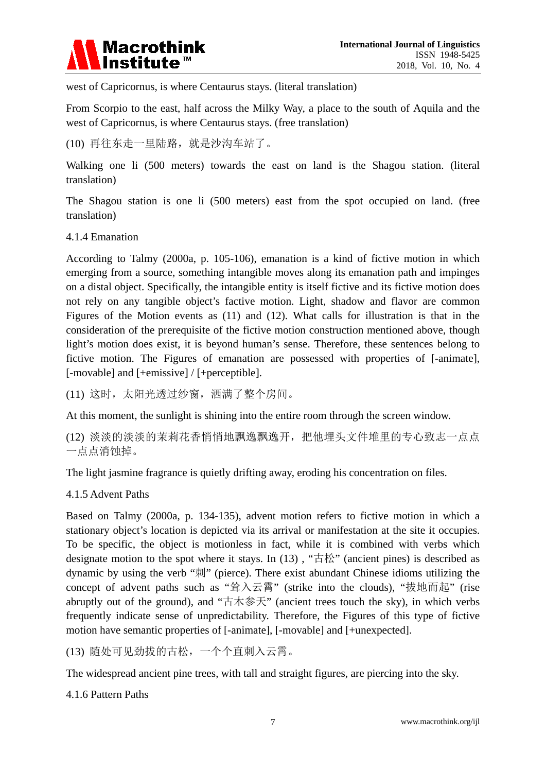

west of Capricornus, is where Centaurus stays. (literal translation)

From Scorpio to the east, half across the Milky Way, a place to the south of Aquila and the west of Capricornus, is where Centaurus stays. (free translation)

(10) 再往东走一里陆路,就是沙沟车站了。

Walking one li (500 meters) towards the east on land is the Shagou station. (literal translation)

The Shagou station is one li (500 meters) east from the spot occupied on land. (free translation)

#### 4.1.4 Emanation

According to Talmy (2000a, p. 105-106), emanation is a kind of fictive motion in which emerging from a source, something intangible moves along its emanation path and impinges on a distal object. Specifically, the intangible entity is itself fictive and its fictive motion does not rely on any tangible object's factive motion. Light, shadow and flavor are common Figures of the Motion events as (11) and (12). What calls for illustration is that in the consideration of the prerequisite of the fictive motion construction mentioned above, though light's motion does exist, it is beyond human's sense. Therefore, these sentences belong to fictive motion. The Figures of emanation are possessed with properties of [-animate], [-movable] and [+emissive] / [+perceptible].

(11) 这时,太阳光透过纱窗,洒满了整个房间。

At this moment, the sunlight is shining into the entire room through the screen window.

(12) 淡淡的淡淡的茉莉花香悄悄地飘逸飘逸开,把他埋头文件堆里的专心致志一点点 一点点消蚀掉。

The light jasmine fragrance is quietly drifting away, eroding his concentration on files.

4.1.5 Advent Paths

Based on Talmy (2000a, p. 134-135), advent motion refers to fictive motion in which a stationary object's location is depicted via its arrival or manifestation at the site it occupies. To be specific, the object is motionless in fact, while it is combined with verbs which designate motion to the spot where it stays. In (13), " $\exists k$ " (ancient pines) is described as dynamic by using the verb "刺" (pierce). There exist abundant Chinese idioms utilizing the concept of advent paths such as "耸入云霄" (strike into the clouds), "拔地而起" (rise abruptly out of the ground), and "古木参天" (ancient trees touch the sky), in which verbs frequently indicate sense of unpredictability. Therefore, the Figures of this type of fictive motion have semantic properties of [-animate], [-movable] and [+unexpected].

(13) 随处可见劲拔的古松,一个个直刺入云霄。

The widespread ancient pine trees, with tall and straight figures, are piercing into the sky.

4.1.6 Pattern Paths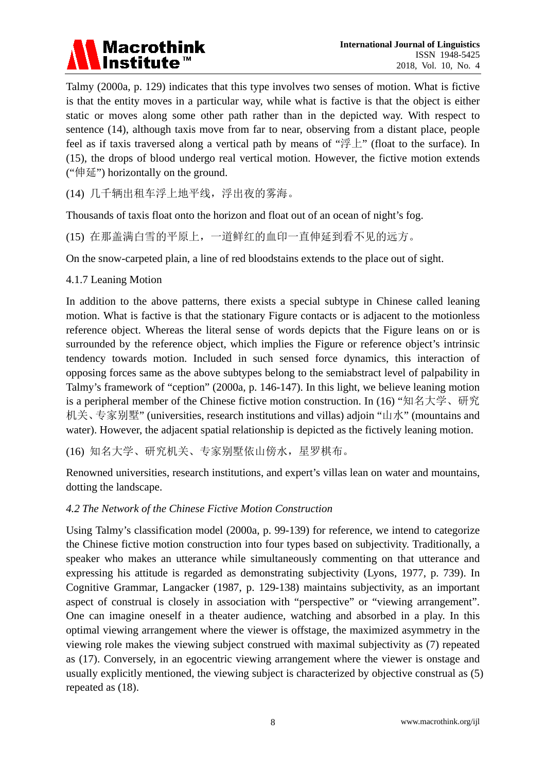

Talmy (2000a, p. 129) indicates that this type involves two senses of motion. What is fictive is that the entity moves in a particular way, while what is factive is that the object is either static or moves along some other path rather than in the depicted way. With respect to sentence (14), although taxis move from far to near, observing from a distant place, people feel as if taxis traversed along a vertical path by means of "浮上" (float to the surface). In (15), the drops of blood undergo real vertical motion. However, the fictive motion extends ("伸延") horizontally on the ground.

(14) 几千辆出租车浮上地平线,浮出夜的雾海。

Thousands of taxis float onto the horizon and float out of an ocean of night's fog.

(15) 在那盖满白雪的平原上,一道鲜红的血印一直伸延到看不见的远方。

On the snow-carpeted plain, a line of red bloodstains extends to the place out of sight.

#### 4.1.7 Leaning Motion

In addition to the above patterns, there exists a special subtype in Chinese called leaning motion. What is factive is that the stationary Figure contacts or is adjacent to the motionless reference object. Whereas the literal sense of words depicts that the Figure leans on or is surrounded by the reference object, which implies the Figure or reference object's intrinsic tendency towards motion. Included in such sensed force dynamics, this interaction of opposing forces same as the above subtypes belong to the semiabstract level of palpability in Talmy's framework of "ception" (2000a, p. 146-147). In this light, we believe leaning motion is a peripheral member of the Chinese fictive motion construction. In (16) "知名大学、研究 机关、专家别墅" (universities, research institutions and villas) adjoin "山水" (mountains and water). However, the adjacent spatial relationship is depicted as the fictively leaning motion.

(16) 知名大学、研究机关、专家别墅依山傍水,星罗棋布。

Renowned universities, research institutions, and expert's villas lean on water and mountains, dotting the landscape.

#### *4.2 The Network of the Chinese Fictive Motion Construction*

Using Talmy's classification model (2000a, p. 99-139) for reference, we intend to categorize the Chinese fictive motion construction into four types based on subjectivity. Traditionally, a speaker who makes an utterance while simultaneously commenting on that utterance and expressing his attitude is regarded as demonstrating subjectivity (Lyons, 1977, p. 739). In Cognitive Grammar, Langacker (1987, p. 129-138) maintains subjectivity, as an important aspect of construal is closely in association with "perspective" or "viewing arrangement". One can imagine oneself in a theater audience, watching and absorbed in a play. In this optimal viewing arrangement where the viewer is offstage, the maximized asymmetry in the viewing role makes the viewing subject construed with maximal subjectivity as (7) repeated as (17). Conversely, in an egocentric viewing arrangement where the viewer is onstage and usually explicitly mentioned, the viewing subject is characterized by objective construal as (5) repeated as (18).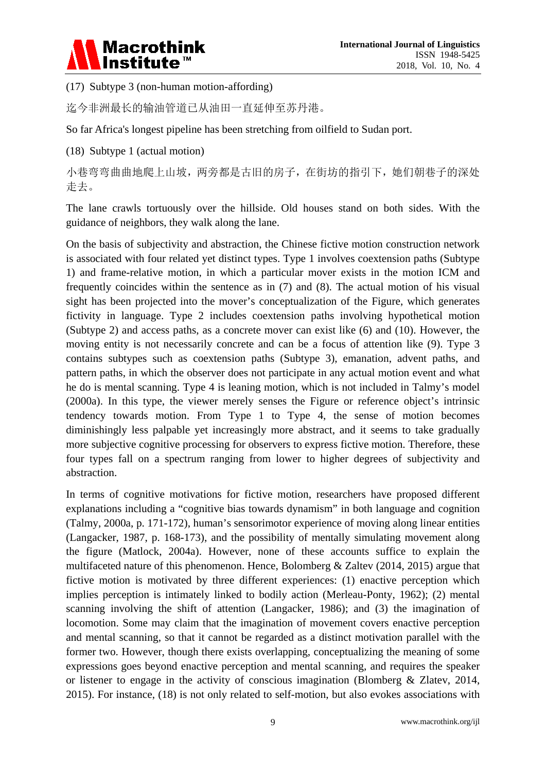

(17) Subtype 3 (non-human motion-affording)

迄今非洲最长的输油管道已从油田一直延伸至苏丹港。

So far Africa's longest pipeline has been stretching from oilfield to Sudan port.

(18) Subtype 1 (actual motion)

小巷弯弯曲曲地爬上山坡,两旁都是古旧的房子,在街坊的指引下,她们朝巷子的深处 走去。

The lane crawls tortuously over the hillside. Old houses stand on both sides. With the guidance of neighbors, they walk along the lane.

On the basis of subjectivity and abstraction, the Chinese fictive motion construction network is associated with four related yet distinct types. Type 1 involves coextension paths (Subtype 1) and frame-relative motion, in which a particular mover exists in the motion ICM and frequently coincides within the sentence as in (7) and (8). The actual motion of his visual sight has been projected into the mover's conceptualization of the Figure, which generates fictivity in language. Type 2 includes coextension paths involving hypothetical motion (Subtype 2) and access paths, as a concrete mover can exist like (6) and (10). However, the moving entity is not necessarily concrete and can be a focus of attention like (9). Type 3 contains subtypes such as coextension paths (Subtype 3), emanation, advent paths, and pattern paths, in which the observer does not participate in any actual motion event and what he do is mental scanning. Type 4 is leaning motion, which is not included in Talmy's model (2000a). In this type, the viewer merely senses the Figure or reference object's intrinsic tendency towards motion. From Type 1 to Type 4, the sense of motion becomes diminishingly less palpable yet increasingly more abstract, and it seems to take gradually more subjective cognitive processing for observers to express fictive motion. Therefore, these four types fall on a spectrum ranging from lower to higher degrees of subjectivity and abstraction.

In terms of cognitive motivations for fictive motion, researchers have proposed different explanations including a "cognitive bias towards dynamism" in both language and cognition (Talmy, 2000a, p. 171-172), human's sensorimotor experience of moving along linear entities (Langacker, 1987, p. 168-173), and the possibility of mentally simulating movement along the figure (Matlock, 2004a). However, none of these accounts suffice to explain the multifaceted nature of this phenomenon. Hence, Bolomberg & Zaltev (2014, 2015) argue that fictive motion is motivated by three different experiences: (1) enactive perception which implies perception is intimately linked to bodily action (Merleau-Ponty, 1962); (2) mental scanning involving the shift of attention (Langacker, 1986); and (3) the imagination of locomotion. Some may claim that the imagination of movement covers enactive perception and mental scanning, so that it cannot be regarded as a distinct motivation parallel with the former two. However, though there exists overlapping, conceptualizing the meaning of some expressions goes beyond enactive perception and mental scanning, and requires the speaker or listener to engage in the activity of conscious imagination (Blomberg & Zlatev, 2014, 2015). For instance, (18) is not only related to self-motion, but also evokes associations with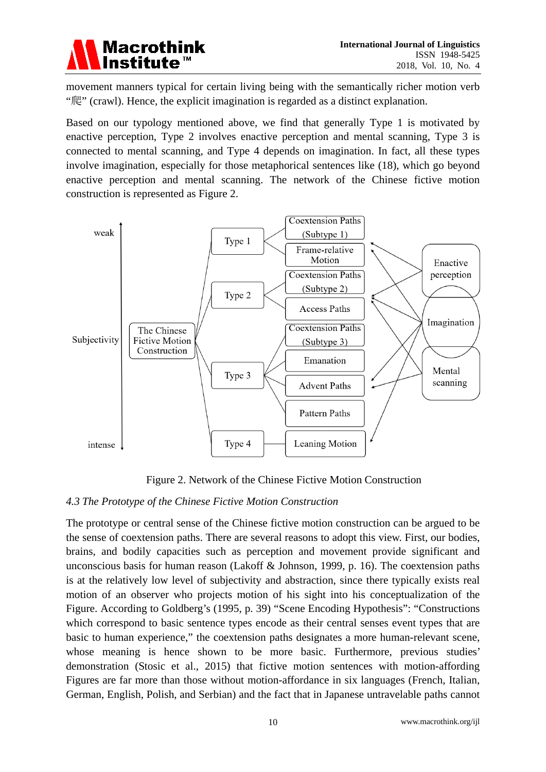

movement manners typical for certain living being with the semantically richer motion verb "爬" (crawl). Hence, the explicit imagination is regarded as a distinct explanation.

Based on our typology mentioned above, we find that generally Type 1 is motivated by enactive perception, Type 2 involves enactive perception and mental scanning, Type 3 is connected to mental scanning, and Type 4 depends on imagination. In fact, all these types involve imagination, especially for those metaphorical sentences like (18), which go beyond enactive perception and mental scanning. The network of the Chinese fictive motion construction is represented as Figure 2.



Figure 2. Network of the Chinese Fictive Motion Construction

# *4.3 The Prototype of the Chinese Fictive Motion Construction*

The prototype or central sense of the Chinese fictive motion construction can be argued to be the sense of coextension paths. There are several reasons to adopt this view. First, our bodies, brains, and bodily capacities such as perception and movement provide significant and unconscious basis for human reason (Lakoff & Johnson, 1999, p. 16). The coextension paths is at the relatively low level of subjectivity and abstraction, since there typically exists real motion of an observer who projects motion of his sight into his conceptualization of the Figure. According to Goldberg's (1995, p. 39) "Scene Encoding Hypothesis": "Constructions which correspond to basic sentence types encode as their central senses event types that are basic to human experience," the coextension paths designates a more human-relevant scene, whose meaning is hence shown to be more basic. Furthermore, previous studies' demonstration (Stosic et al., 2015) that fictive motion sentences with motion-affording Figures are far more than those without motion-affordance in six languages (French, Italian, German, English, Polish, and Serbian) and the fact that in Japanese untravelable paths cannot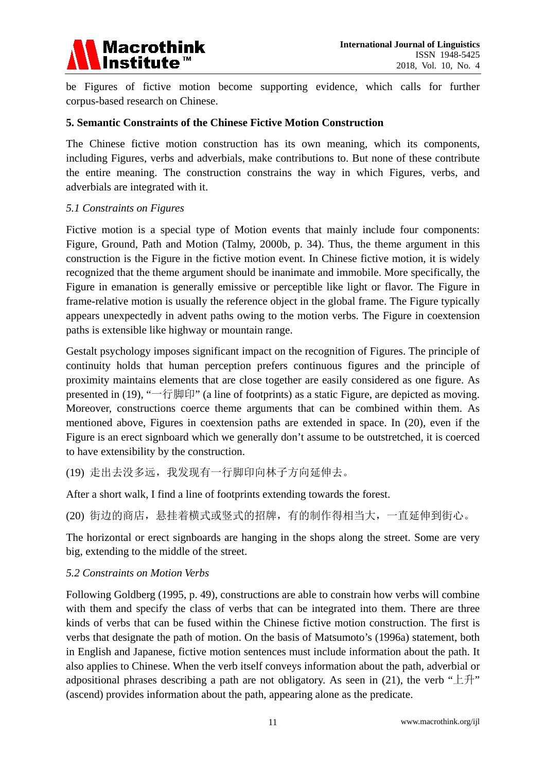

be Figures of fictive motion become supporting evidence, which calls for further corpus-based research on Chinese.

## **5. Semantic Constraints of the Chinese Fictive Motion Construction**

The Chinese fictive motion construction has its own meaning, which its components, including Figures, verbs and adverbials, make contributions to. But none of these contribute the entire meaning. The construction constrains the way in which Figures, verbs, and adverbials are integrated with it.

## *5.1 Constraints on Figures*

Fictive motion is a special type of Motion events that mainly include four components: Figure, Ground, Path and Motion (Talmy, 2000b, p. 34). Thus, the theme argument in this construction is the Figure in the fictive motion event. In Chinese fictive motion, it is widely recognized that the theme argument should be inanimate and immobile. More specifically, the Figure in emanation is generally emissive or perceptible like light or flavor. The Figure in frame-relative motion is usually the reference object in the global frame. The Figure typically appears unexpectedly in advent paths owing to the motion verbs. The Figure in coextension paths is extensible like highway or mountain range.

Gestalt psychology imposes significant impact on the recognition of Figures. The principle of continuity holds that human perception prefers continuous figures and the principle of proximity maintains elements that are close together are easily considered as one figure. As presented in (19), "一行脚印" (a line of footprints) as a static Figure, are depicted as moving. Moreover, constructions coerce theme arguments that can be combined within them. As mentioned above, Figures in coextension paths are extended in space. In (20), even if the Figure is an erect signboard which we generally don't assume to be outstretched, it is coerced to have extensibility by the construction.

(19) 走出去没多远,我发现有一行脚印向林子方向延伸去。

After a short walk, I find a line of footprints extending towards the forest.

(20) 街边的商店,悬挂着横式或竖式的招牌,有的制作得相当大,一直延伸到街心。

The horizontal or erect signboards are hanging in the shops along the street. Some are very big, extending to the middle of the street.

# *5.2 Constraints on Motion Verbs*

Following Goldberg (1995, p. 49), constructions are able to constrain how verbs will combine with them and specify the class of verbs that can be integrated into them. There are three kinds of verbs that can be fused within the Chinese fictive motion construction. The first is verbs that designate the path of motion. On the basis of Matsumoto's (1996a) statement, both in English and Japanese, fictive motion sentences must include information about the path. It also applies to Chinese. When the verb itself conveys information about the path, adverbial or adpositional phrases describing a path are not obligatory. As seen in (21), the verb " $\pm \text{H}$ " (ascend) provides information about the path, appearing alone as the predicate.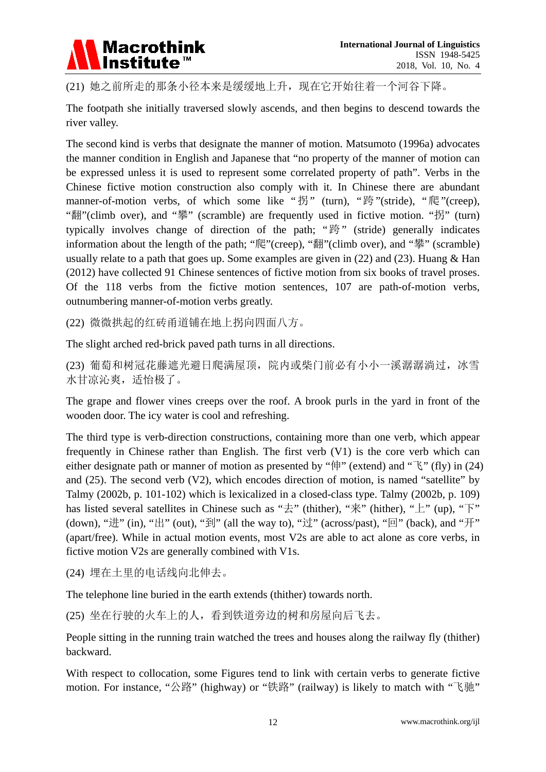

(21) 她之前所走的那条小径本来是缓缓地上升,现在它开始往着一个河谷下降。

The footpath she initially traversed slowly ascends, and then begins to descend towards the river valley.

The second kind is verbs that designate the manner of motion. Matsumoto (1996a) advocates the manner condition in English and Japanese that "no property of the manner of motion can be expressed unless it is used to represent some correlated property of path". Verbs in the Chinese fictive motion construction also comply with it. In Chinese there are abundant manner-of-motion verbs, of which some like "拐" (turn), "跨"(stride), "爬"(creep), "翻"(climb over), and "攀" (scramble) are frequently used in fictive motion. "拐" (turn) typically involves change of direction of the path; "跨" (stride) generally indicates information about the length of the path; "爬"(creep), "翻"(climb over), and "攀" (scramble) usually relate to a path that goes up. Some examples are given in  $(22)$  and  $(23)$ . Huang & Han (2012) have collected 91 Chinese sentences of fictive motion from six books of travel proses. Of the 118 verbs from the fictive motion sentences, 107 are path-of-motion verbs, outnumbering manner-of-motion verbs greatly.

(22) 微微拱起的红砖甬道铺在地上拐向四面八方。

The slight arched red-brick paved path turns in all directions.

(23) 葡萄和树冠花藤遮光避日爬满屋顶,院内或柴门前必有小小一溪潺潺淌过,冰雪 水甘凉沁爽,适怡极了。

The grape and flower vines creeps over the roof. A brook purls in the yard in front of the wooden door. The icy water is cool and refreshing.

The third type is verb-direction constructions, containing more than one verb, which appear frequently in Chinese rather than English. The first verb (V1) is the core verb which can either designate path or manner of motion as presented by "伸" (extend) and " $\mathbb{K}$ " (fly) in (24) and (25). The second verb (V2), which encodes direction of motion, is named "satellite" by Talmy (2002b, p. 101-102) which is lexicalized in a closed-class type. Talmy (2002b, p. 109) has listed several satellites in Chinese such as " $\pm$ " (thither), " $\pm$ " (hither), " $\pm$ " (up), " $\overline{F}$ " (down), " $\sharp$ " (in), " $\sharp$ " (out), " $\sharp$ " (all the way to), " $\sharp$ " (across/past), " $\sharp$ " (back), and " $\sharp$ " (apart/free). While in actual motion events, most V2s are able to act alone as core verbs, in fictive motion V2s are generally combined with V1s.

(24) 埋在土里的电话线向北伸去。

The telephone line buried in the earth extends (thither) towards north.

(25) 坐在行驶的火车上的人,看到铁道旁边的树和房屋向后飞去。

People sitting in the running train watched the trees and houses along the railway fly (thither) backward.

With respect to collocation, some Figures tend to link with certain verbs to generate fictive motion. For instance, "公路" (highway) or "铁路" (railway) is likely to match with "飞驰"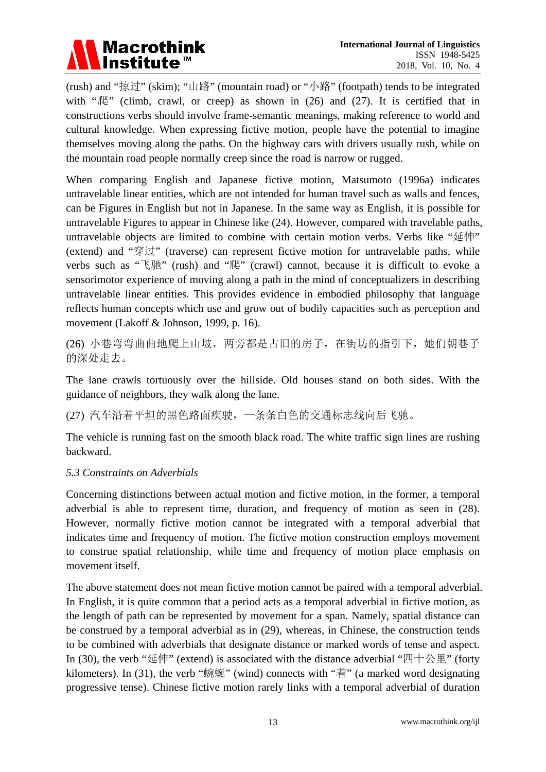

(rush) and "掠过" (skim); "山路" (mountain road) or "小路" (footpath) tends to be integrated with " $\mathbb{R}$ " (climb, crawl, or creep) as shown in (26) and (27). It is certified that in constructions verbs should involve frame-semantic meanings, making reference to world and cultural knowledge. When expressing fictive motion, people have the potential to imagine themselves moving along the paths. On the highway cars with drivers usually rush, while on the mountain road people normally creep since the road is narrow or rugged.

When comparing English and Japanese fictive motion, Matsumoto (1996a) indicates untravelable linear entities, which are not intended for human travel such as walls and fences, can be Figures in English but not in Japanese. In the same way as English, it is possible for untravelable Figures to appear in Chinese like (24). However, compared with travelable paths, untravelable objects are limited to combine with certain motion verbs. Verbs like "延伸" (extend) and "穿过" (traverse) can represent fictive motion for untravelable paths, while verbs such as "飞驰" (rush) and "爬" (crawl) cannot, because it is difficult to evoke a sensorimotor experience of moving along a path in the mind of conceptualizers in describing untravelable linear entities. This provides evidence in embodied philosophy that language reflects human concepts which use and grow out of bodily capacities such as perception and movement (Lakoff & Johnson, 1999, p. 16).

(26) 小巷弯弯曲曲地爬上山坡,两旁都是古旧的房子,在街坊的指引下,她们朝巷子 的深处走去。

The lane crawls tortuously over the hillside. Old houses stand on both sides. With the guidance of neighbors, they walk along the lane.

(27) 汽车沿着平坦的黑色路面疾驶,一条条白色的交通标志线向后飞驰。

The vehicle is running fast on the smooth black road. The white traffic sign lines are rushing backward.

# *5.3 Constraints on Adverbials*

Concerning distinctions between actual motion and fictive motion, in the former, a temporal adverbial is able to represent time, duration, and frequency of motion as seen in (28). However, normally fictive motion cannot be integrated with a temporal adverbial that indicates time and frequency of motion. The fictive motion construction employs movement to construe spatial relationship, while time and frequency of motion place emphasis on movement itself.

The above statement does not mean fictive motion cannot be paired with a temporal adverbial. In English, it is quite common that a period acts as a temporal adverbial in fictive motion, as the length of path can be represented by movement for a span. Namely, spatial distance can be construed by a temporal adverbial as in (29), whereas, in Chinese, the construction tends to be combined with adverbials that designate distance or marked words of tense and aspect. In (30), the verb "延伸" (extend) is associated with the distance adverbial "四十公里" (forty kilometers). In (31), the verb "蜿蜒" (wind) connects with "着" (a marked word designating progressive tense). Chinese fictive motion rarely links with a temporal adverbial of duration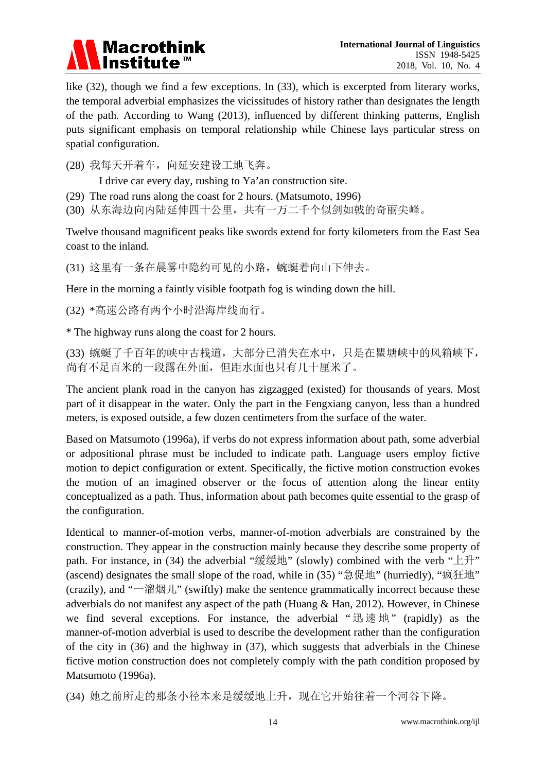

like (32), though we find a few exceptions. In (33), which is excerpted from literary works, the temporal adverbial emphasizes the vicissitudes of history rather than designates the length of the path. According to Wang (2013), influenced by different thinking patterns, English puts significant emphasis on temporal relationship while Chinese lays particular stress on spatial configuration.

(28) 我每天开着车,向延安建设工地飞奔。

I drive car every day, rushing to Ya'an construction site.

- (29) The road runs along the coast for 2 hours. (Matsumoto, 1996)
- (30) 从东海边向内陆延伸四十公里,共有一万二千个似剑如戟的奇丽尖峰。

Twelve thousand magnificent peaks like swords extend for forty kilometers from the East Sea coast to the inland.

(31) 这里有一条在晨雾中隐约可见的小路,蜿蜒着向山下伸去。

Here in the morning a faintly visible footpath fog is winding down the hill.

(32) \*高速公路有两个小时沿海岸线而行。

\* The highway runs along the coast for 2 hours.

(33) 蜿蜒了千百年的峡中古栈道,大部分已消失在水中,只是在瞿塘峡中的风箱峡下, 尚有不足百米的一段露在外面,但距水面也只有几十厘米了。

The ancient plank road in the canyon has zigzagged (existed) for thousands of years. Most part of it disappear in the water. Only the part in the Fengxiang canyon, less than a hundred meters, is exposed outside, a few dozen centimeters from the surface of the water.

Based on Matsumoto (1996a), if verbs do not express information about path, some adverbial or adpositional phrase must be included to indicate path. Language users employ fictive motion to depict configuration or extent. Specifically, the fictive motion construction evokes the motion of an imagined observer or the focus of attention along the linear entity conceptualized as a path. Thus, information about path becomes quite essential to the grasp of the configuration.

Identical to manner-of-motion verbs, manner-of-motion adverbials are constrained by the construction. They appear in the construction mainly because they describe some property of path. For instance, in (34) the adverbial "缓缓地" (slowly) combined with the verb "上升" (ascend) designates the small slope of the road, while in (35) "急促地" (hurriedly), "疯狂地" (crazily), and " $\Box$ " (swiftly) make the sentence grammatically incorrect because these adverbials do not manifest any aspect of the path (Huang & Han, 2012). However, in Chinese we find several exceptions. For instance, the adverbial " $\mathcal{H} \not\equiv \mathcal{H}$ " (rapidly) as the manner-of-motion adverbial is used to describe the development rather than the configuration of the city in (36) and the highway in (37), which suggests that adverbials in the Chinese fictive motion construction does not completely comply with the path condition proposed by Matsumoto (1996a).

(34) 她之前所走的那条小径本来是缓缓地上升,现在它开始往着一个河谷下降。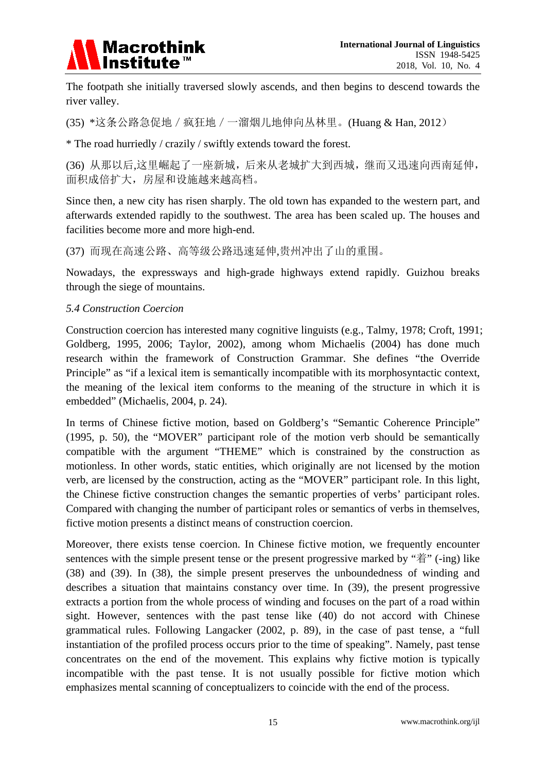

The footpath she initially traversed slowly ascends, and then begins to descend towards the river valley.

(35) \*这条公路急促地/疯狂地/一溜烟儿地伸向丛林里。(Huang & Han, 2012)

\* The road hurriedly / crazily / swiftly extends toward the forest.

(36) 从那以后,这里崛起了一座新城,后来从老城扩大到西城,继而又迅速向西南延伸, 面积成倍扩大,房屋和设施越来越高档。

Since then, a new city has risen sharply. The old town has expanded to the western part, and afterwards extended rapidly to the southwest. The area has been scaled up. The houses and facilities become more and more high-end.

(37) 而现在高速公路、高等级公路迅速延伸,贵州冲出了山的重围。

Nowadays, the expressways and high-grade highways extend rapidly. Guizhou breaks through the siege of mountains.

## *5.4 Construction Coercion*

Construction coercion has interested many cognitive linguists (e.g., Talmy, 1978; Croft, 1991; Goldberg, 1995, 2006; Taylor, 2002), among whom Michaelis (2004) has done much research within the framework of Construction Grammar. She defines "the Override Principle" as "if a lexical item is semantically incompatible with its morphosyntactic context, the meaning of the lexical item conforms to the meaning of the structure in which it is embedded" (Michaelis, 2004, p. 24).

In terms of Chinese fictive motion, based on Goldberg's "Semantic Coherence Principle" (1995, p. 50), the "MOVER" participant role of the motion verb should be semantically compatible with the argument "THEME" which is constrained by the construction as motionless. In other words, static entities, which originally are not licensed by the motion verb, are licensed by the construction, acting as the "MOVER" participant role. In this light, the Chinese fictive construction changes the semantic properties of verbs' participant roles. Compared with changing the number of participant roles or semantics of verbs in themselves, fictive motion presents a distinct means of construction coercion.

Moreover, there exists tense coercion. In Chinese fictive motion, we frequently encounter sentences with the simple present tense or the present progressive marked by "着" (-ing) like (38) and (39). In (38), the simple present preserves the unboundedness of winding and describes a situation that maintains constancy over time. In (39), the present progressive extracts a portion from the whole process of winding and focuses on the part of a road within sight. However, sentences with the past tense like (40) do not accord with Chinese grammatical rules. Following Langacker (2002, p. 89), in the case of past tense, a "full instantiation of the profiled process occurs prior to the time of speaking". Namely, past tense concentrates on the end of the movement. This explains why fictive motion is typically incompatible with the past tense. It is not usually possible for fictive motion which emphasizes mental scanning of conceptualizers to coincide with the end of the process.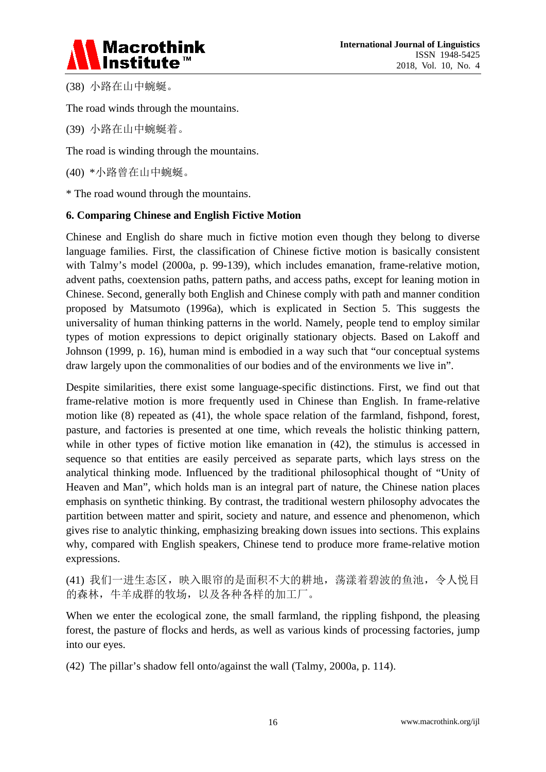

(38) 小路在山中蜿蜒。

The road winds through the mountains.

(39) 小路在山中蜿蜒着。

The road is winding through the mountains.

(40) \*小路曾在山中蜿蜒。

\* The road wound through the mountains.

# **6. Comparing Chinese and English Fictive Motion**

Chinese and English do share much in fictive motion even though they belong to diverse language families. First, the classification of Chinese fictive motion is basically consistent with Talmy's model (2000a, p. 99-139), which includes emanation, frame-relative motion, advent paths, coextension paths, pattern paths, and access paths, except for leaning motion in Chinese. Second, generally both English and Chinese comply with path and manner condition proposed by Matsumoto (1996a), which is explicated in Section 5. This suggests the universality of human thinking patterns in the world. Namely, people tend to employ similar types of motion expressions to depict originally stationary objects. Based on Lakoff and Johnson (1999, p. 16), human mind is embodied in a way such that "our conceptual systems draw largely upon the commonalities of our bodies and of the environments we live in".

Despite similarities, there exist some language-specific distinctions. First, we find out that frame-relative motion is more frequently used in Chinese than English. In frame-relative motion like (8) repeated as (41), the whole space relation of the farmland, fishpond, forest, pasture, and factories is presented at one time, which reveals the holistic thinking pattern, while in other types of fictive motion like emanation in  $(42)$ , the stimulus is accessed in sequence so that entities are easily perceived as separate parts, which lays stress on the analytical thinking mode. Influenced by the traditional philosophical thought of "Unity of Heaven and Man", which holds man is an integral part of nature, the Chinese nation places emphasis on synthetic thinking. By contrast, the traditional western philosophy advocates the partition between matter and spirit, society and nature, and essence and phenomenon, which gives rise to analytic thinking, emphasizing breaking down issues into sections. This explains why, compared with English speakers, Chinese tend to produce more frame-relative motion expressions.

(41) 我们一进生态区,映入眼帘的是面积不大的耕地,荡漾着碧波的鱼池,令人悦目 的森林,牛羊成群的牧场,以及各种各样的加工厂。

When we enter the ecological zone, the small farmland, the rippling fishpond, the pleasing forest, the pasture of flocks and herds, as well as various kinds of processing factories, jump into our eyes.

(42) The pillar's shadow fell onto/against the wall (Talmy, 2000a, p. 114).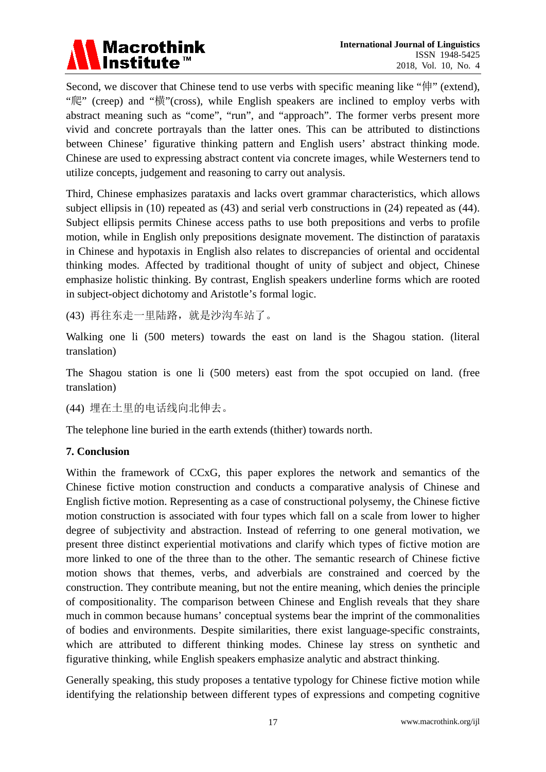

Second, we discover that Chinese tend to use verbs with specific meaning like "伸" (extend), "爬" (creep) and "横"(cross), while English speakers are inclined to employ verbs with abstract meaning such as "come", "run", and "approach". The former verbs present more vivid and concrete portrayals than the latter ones. This can be attributed to distinctions between Chinese' figurative thinking pattern and English users' abstract thinking mode. Chinese are used to expressing abstract content via concrete images, while Westerners tend to utilize concepts, judgement and reasoning to carry out analysis.

Third, Chinese emphasizes parataxis and lacks overt grammar characteristics, which allows subject ellipsis in (10) repeated as (43) and serial verb constructions in (24) repeated as (44). Subject ellipsis permits Chinese access paths to use both prepositions and verbs to profile motion, while in English only prepositions designate movement. The distinction of parataxis in Chinese and hypotaxis in English also relates to discrepancies of oriental and occidental thinking modes. Affected by traditional thought of unity of subject and object, Chinese emphasize holistic thinking. By contrast, English speakers underline forms which are rooted in subject-object dichotomy and Aristotle's formal logic.

(43) 再往东走一里陆路,就是沙沟车站了。

Walking one li (500 meters) towards the east on land is the Shagou station. (literal translation)

The Shagou station is one li (500 meters) east from the spot occupied on land. (free translation)

(44) 埋在土里的电话线向北伸去。

The telephone line buried in the earth extends (thither) towards north.

#### **7. Conclusion**

Within the framework of CCxG, this paper explores the network and semantics of the Chinese fictive motion construction and conducts a comparative analysis of Chinese and English fictive motion. Representing as a case of constructional polysemy, the Chinese fictive motion construction is associated with four types which fall on a scale from lower to higher degree of subjectivity and abstraction. Instead of referring to one general motivation, we present three distinct experiential motivations and clarify which types of fictive motion are more linked to one of the three than to the other. The semantic research of Chinese fictive motion shows that themes, verbs, and adverbials are constrained and coerced by the construction. They contribute meaning, but not the entire meaning, which denies the principle of compositionality. The comparison between Chinese and English reveals that they share much in common because humans' conceptual systems bear the imprint of the commonalities of bodies and environments. Despite similarities, there exist language-specific constraints, which are attributed to different thinking modes. Chinese lay stress on synthetic and figurative thinking, while English speakers emphasize analytic and abstract thinking.

Generally speaking, this study proposes a tentative typology for Chinese fictive motion while identifying the relationship between different types of expressions and competing cognitive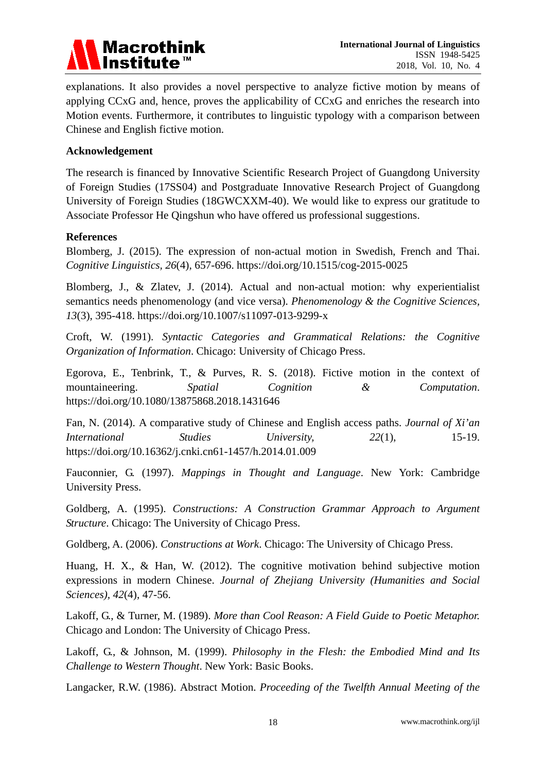

explanations. It also provides a novel perspective to analyze fictive motion by means of applying CCxG and, hence, proves the applicability of CCxG and enriches the research into Motion events. Furthermore, it contributes to linguistic typology with a comparison between Chinese and English fictive motion.

## **Acknowledgement**

The research is financed by Innovative Scientific Research Project of Guangdong University of Foreign Studies (17SS04) and Postgraduate Innovative Research Project of Guangdong University of Foreign Studies (18GWCXXM-40). We would like to express our gratitude to Associate Professor He Qingshun who have offered us professional suggestions.

## **References**

Blomberg, J. (2015). The expression of non-actual motion in Swedish, French and Thai. *Cognitive Linguistics, 26*(4), 657-696. https://doi.org/10.1515/cog-2015-0025

Blomberg, J., & Zlatev, J. (2014). Actual and non-actual motion: why experientialist semantics needs phenomenology (and vice versa). *Phenomenology & the Cognitive Sciences, 13*(3), 395-418. https://doi.org/10.1007/s11097-013-9299-x

Croft, W. (1991). *Syntactic Categories and Grammatical Relations: the Cognitive Organization of Information*. Chicago: University of Chicago Press.

Egorova, E., Tenbrink, T., & Purves, R. S. (2018). Fictive motion in the context of mountaineering. *Spatial Cognition & Computation*. https://doi.org/10.1080/13875868.2018.1431646

Fan, N. (2014). A comparative study of Chinese and English access paths. *Journal of Xi'an International Studies University, 22*(1), 15-19. <https://doi.org/10.16362/j.cnki.cn61-1457/h.2014.01.009>

Fauconnier, G. (1997). *Mappings in Thought and Language*. New York: Cambridge University Press.

Goldberg, A. (1995). *Constructions: A Construction Grammar Approach to Argument Structure*. Chicago: The University of Chicago Press.

Goldberg, A. (2006). *Constructions at Work*. Chicago: The University of Chicago Press.

Huang, H. X., & Han, W. (2012). The cognitive motivation behind subjective motion expressions in modern Chinese. *Journal of Zhejiang University (Humanities and Social Sciences), 42*(4), 47-56.

Lakoff, G., & Turner, M. (1989). *More than Cool Reason: A Field Guide to Poetic Metaphor.* Chicago and London: The University of Chicago Press.

Lakoff, G., & Johnson, M. (1999). *Philosophy in the Flesh: the Embodied Mind and Its Challenge to Western Thought*. New York: Basic Books.

Langacker, R.W. (1986). Abstract Motion. *Proceeding of the Twelfth Annual Meeting of the*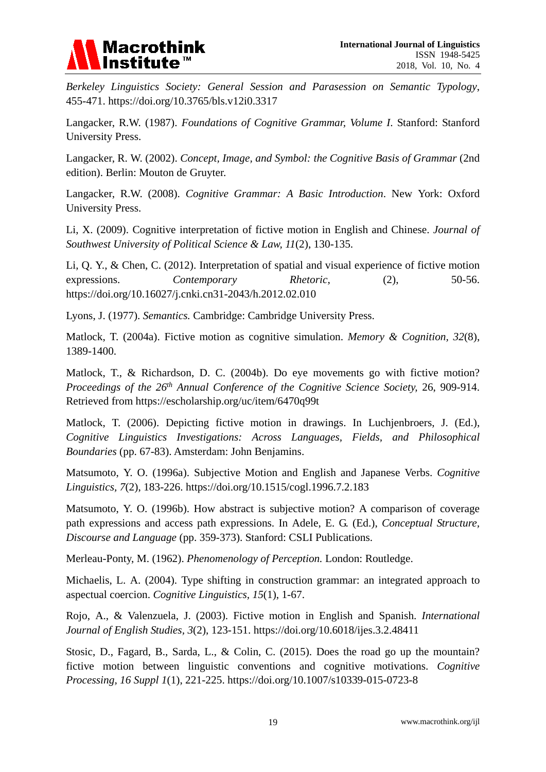

*Berkeley Linguistics Society: General Session and Parasession on Semantic Typology*, 455-471.<https://doi.org/10.3765/bls.v12i0.3317>

Langacker, R.W. (1987). *Foundations of Cognitive Grammar, Volume I*. Stanford: Stanford University Press.

Langacker, R. W. (2002). *Concept, Image, and Symbol: the Cognitive Basis of Grammar* (2nd edition). Berlin: Mouton de Gruyter.

Langacker, R.W. (2008). *Cognitive Grammar: A Basic Introduction*. New York: Oxford University Press.

Li, X. (2009). Cognitive interpretation of fictive motion in English and Chinese. *Journal of Southwest University of Political Science & Law, 11*(2), 130-135.

Li, Q. Y., & Chen, C. (2012). Interpretation of spatial and visual experience of fictive motion expressions. *Contemporary Rhetoric*, (2), 50-56. https://doi.org/10.16027/j.cnki.cn31-2043/h.2012.02.010

Lyons, J. (1977). *Semantics.* Cambridge: Cambridge University Press.

Matlock, T. (2004a). Fictive motion as cognitive simulation. *Memory & Cognition, 32*(8), 1389-1400.

Matlock, T., & Richardson, D. C. (2004b). Do eye movements go with fictive motion? *Proceedings of the 26th Annual Conference of the Cognitive Science Society,* 26, 909-914. Retrieved from https://escholarship.org/uc/item/6470q99t

Matlock, T. (2006). Depicting fictive motion in drawings. In Luchjenbroers, J. (Ed.), *Cognitive Linguistics Investigations: Across Languages, Fields, and Philosophical Boundaries* (pp. 67-83). Amsterdam: John Benjamins.

Matsumoto, Y. O. (1996a). Subjective Motion and English and Japanese Verbs. *Cognitive Linguistics, 7*(2), 183-226.<https://doi.org/10.1515/cogl.1996.7.2.183>

Matsumoto, Y. O. (1996b). How abstract is subjective motion? A comparison of coverage path expressions and access path expressions. In Adele, E. G. (Ed.), *Conceptual Structure, Discourse and Language* (pp. 359-373). Stanford: CSLI Publications.

Merleau-Ponty, M. (1962). *Phenomenology of Perception.* London: Routledge.

Michaelis, L. A. (2004). Type shifting in construction grammar: an integrated approach to aspectual coercion. *Cognitive Linguistics, 15*(1), 1-67.

Rojo, A., & Valenzuela, J. (2003). Fictive motion in English and Spanish. *International Journal of English Studies, 3*(2), 123-151. https://doi.org[/10.6018/ijes.3.2.48411](http://dx.doi.org/10.6018/ijes.3.2.48411)

Stosic, D., Fagard, B., Sarda, L., & Colin, C. (2015). Does the road go up the mountain? fictive motion between linguistic conventions and cognitive motivations. *Cognitive Processing, 16 Suppl 1*(1), 221-225. https://doi.org/10.1007/s10339-015-0723-8